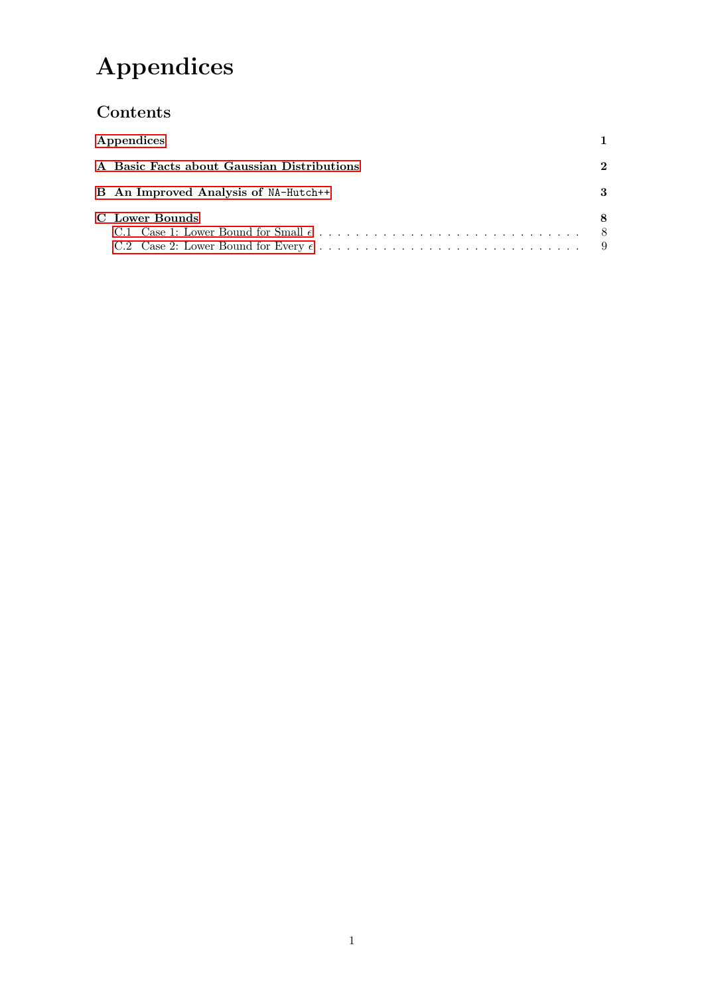# Appendices

## <span id="page-0-0"></span>Contents

|                | Appendices                                 |              |  |  |
|----------------|--------------------------------------------|--------------|--|--|
|                | A Basic Facts about Gaussian Distributions | $\mathbf{2}$ |  |  |
|                | B An Improved Analysis of NA-Hutch++       | 3            |  |  |
| C Lower Bounds |                                            |              |  |  |
|                |                                            | - 8          |  |  |
|                |                                            |              |  |  |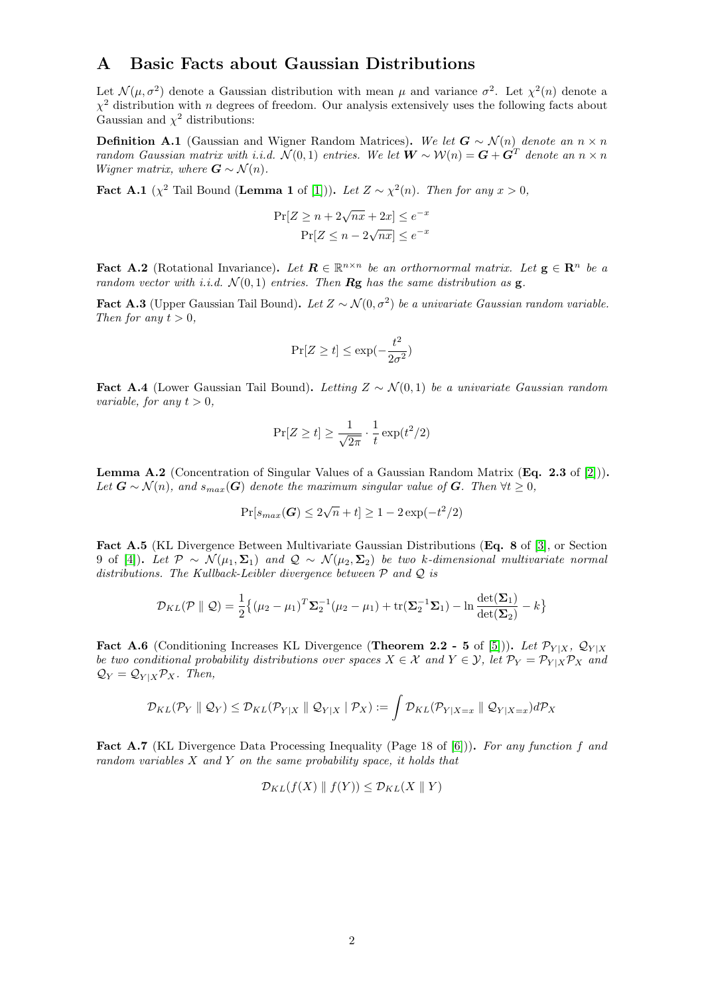#### <span id="page-1-0"></span>A Basic Facts about Gaussian Distributions

Let  $\mathcal{N}(\mu, \sigma^2)$  denote a Gaussian distribution with mean  $\mu$  and variance  $\sigma^2$ . Let  $\chi^2(n)$  denote a  $\chi^2$  distribution with n degrees of freedom. Our analysis extensively uses the following facts about Gaussian and  $\chi^2$  distributions:

<span id="page-1-2"></span>**Definition A.1** (Gaussian and Wigner Random Matrices). We let  $G \sim \mathcal{N}(n)$  denote an  $n \times n$ random Gaussian matrix with i.i.d.  $\mathcal{N}(0,1)$  entries. We let  $\mathbf{W} \sim \mathcal{W}(n) = \mathbf{G} + \mathbf{G}^T$  denote an  $n \times n$ *Wigner matrix, where*  $\mathbf{G} \sim \mathcal{N}(n)$ .

<span id="page-1-1"></span>**Fact A.1** ( $\chi^2$  Tail Bound (Lemma 1 of [\[1\]](#page-13-0))). Let  $Z \sim \chi^2(n)$ . Then for any  $x > 0$ ,

$$
\Pr[Z \ge n + 2\sqrt{nx} + 2x] \le e^{-x}
$$

$$
\Pr[Z \le n - 2\sqrt{nx}] \le e^{-x}
$$

<span id="page-1-5"></span>**Fact A.2** (Rotational Invariance). Let  $\mathbf{R} \in \mathbb{R}^{n \times n}$  be an orthornormal matrix. Let  $\mathbf{g} \in \mathbb{R}^n$  be a random vector with i.i.d.  $\mathcal{N}(0,1)$  entries. Then **Rg** has the same distribution as **g**.

<span id="page-1-4"></span>**Fact A.3** (Upper Gaussian Tail Bound). Let  $Z \sim \mathcal{N}(0, \sigma^2)$  be a univariate Gaussian random variable. Then for any  $t > 0$ ,

$$
\Pr[Z \ge t] \le \exp(-\frac{t^2}{2\sigma^2})
$$

<span id="page-1-6"></span>Fact A.4 (Lower Gaussian Tail Bound). Letting  $Z \sim \mathcal{N}(0, 1)$  be a univariate Gaussian random variable, for any  $t > 0$ ,

$$
\Pr[Z \ge t] \ge \frac{1}{\sqrt{2\pi}} \cdot \frac{1}{t} \exp(t^2/2)
$$

<span id="page-1-3"></span>Lemma A.2 (Concentration of Singular Values of a Gaussian Random Matrix (Eq. 2.3 of [\[2\]](#page-13-1))). Let  $G \sim \mathcal{N}(n)$ , and  $s_{max}(G)$  denote the maximum singular value of G. Then  $\forall t \geq 0$ ,

$$
\Pr[s_{max}(\bm{G}) \le 2\sqrt{n} + t] \ge 1 - 2\exp(-t^2/2)
$$

<span id="page-1-8"></span>Fact A.5 (KL Divergence Between Multivariate Gaussian Distributions (Eq. 8 of [\[3\]](#page-13-2), or Section 9 of [\[4\]](#page-13-3)). Let  $\mathcal{P} \sim \mathcal{N}(\mu_1, \Sigma_1)$  and  $\mathcal{Q} \sim \mathcal{N}(\mu_2, \Sigma_2)$  be two k-dimensional multivariate normal distributions. The Kullback-Leibler divergence between  $P$  and  $Q$  is

$$
\mathcal{D}_{KL}(\mathcal{P} \parallel \mathcal{Q}) = \frac{1}{2} \{ (\mu_2 - \mu_1)^T \Sigma_2^{-1} (\mu_2 - \mu_1) + \text{tr}(\Sigma_2^{-1} \Sigma_1) - \ln \frac{\det(\Sigma_1)}{\det(\Sigma_2)} - k \}
$$

<span id="page-1-9"></span>Fact A.6 (Conditioning Increases KL Divergence (Theorem 2.2 - 5 of [\[5\]](#page-13-4))). Let  $\mathcal{P}_{Y|X}$ ,  $\mathcal{Q}_{Y|X}$ be two conditional probability distributions over spaces  $X \in \mathcal{X}$  and  $Y \in \mathcal{Y}$ , let  $\mathcal{P}_Y = \mathcal{P}_{Y|X} \mathcal{P}_X$  and  $Q_Y = Q_{Y|X} \mathcal{P}_X$ . Then,

$$
\mathcal{D}_{KL}(\mathcal{P}_Y \parallel \mathcal{Q}_Y) \leq \mathcal{D}_{KL}(\mathcal{P}_{Y|X} \parallel \mathcal{Q}_{Y|X} \mid \mathcal{P}_X) := \int \mathcal{D}_{KL}(\mathcal{P}_{Y|X=x} \parallel \mathcal{Q}_{Y|X=x}) d\mathcal{P}_X
$$

<span id="page-1-7"></span>Fact A.7 (KL Divergence Data Processing Inequality (Page 18 of [\[6\]](#page-13-5))). For any function f and random variables X and Y on the same probability space, it holds that

$$
\mathcal{D}_{KL}(f(X) \parallel f(Y)) \leq \mathcal{D}_{KL}(X \parallel Y)
$$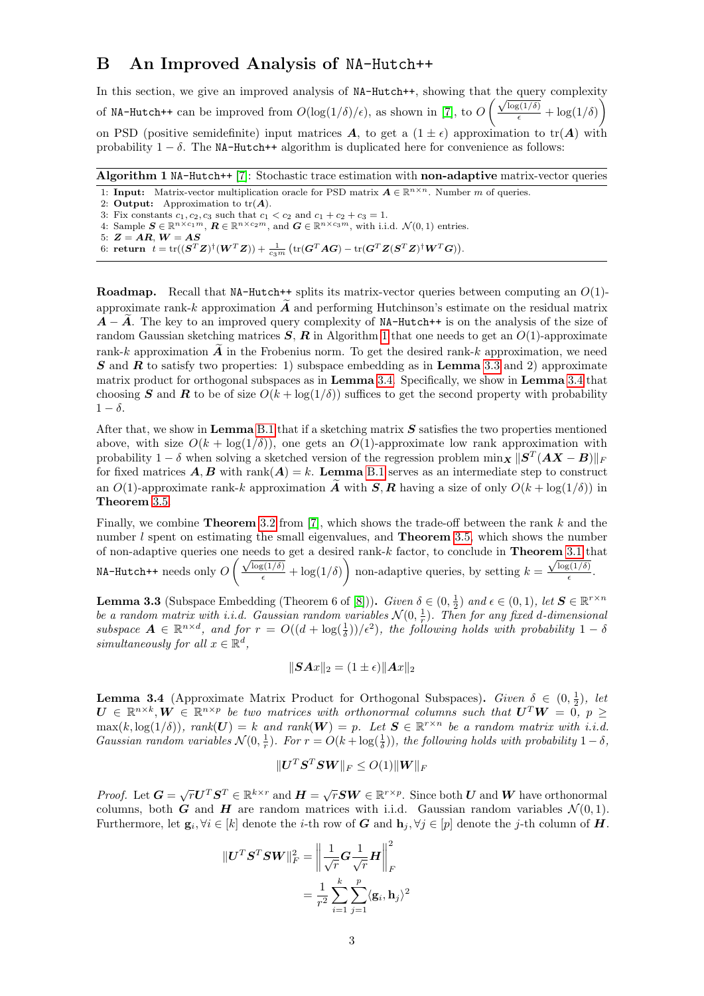### <span id="page-2-0"></span>B An Improved Analysis of NA-Hutch++

In this section, we give an improved analysis of  $NA-Hutch++$ , showing that the query complexity of NA-Hutch++ can be improved from  $O(\log(1/\delta)/\epsilon)$ , as shown in [\[7\]](#page-13-6), to  $O\left(\frac{\sqrt{\log(1/\delta)}}{\epsilon} + \log(1/\delta)\right)$ on PSD (positive semidefinite) input matrices A, to get a  $(1 \pm \epsilon)$  approximation to tr(A) with probability  $1 - \delta$ . The NA-Hutch++ algorithm is duplicated here for convenience as follows:

<span id="page-2-1"></span>Algorithm 1 NA-Hutch++ [\[7\]](#page-13-6): Stochastic trace estimation with non-adaptive matrix-vector queries 1: **Input:** Matrix-vector multiplication oracle for PSD matrix  $A \in \mathbb{R}^{n \times n}$ . Number m of queries. 2: Output: Approximation to  $tr(A)$ . 3: Fix constants  $c_1, c_2, c_3$  such that  $c_1 < c_2$  and  $c_1 + c_2 + c_3 = 1$ . 4: Sample  $\mathbf{S} \in \mathbb{R}^{n \times c_1 m}$ ,  $\mathbf{R} \in \mathbb{R}^{n \times c_2 m}$ , and  $\mathbf{G} \in \mathbb{R}^{n \times c_3 m}$ , with i.i.d.  $\mathcal{N}(0, 1)$  entries. 5:  $\boldsymbol{Z} = \boldsymbol{A}\boldsymbol{R},\,\boldsymbol{W} = \boldsymbol{A}\boldsymbol{S}$ 6: return  $t = \text{tr}((\mathbf{S}^T \mathbf{Z})^{\dagger} (\mathbf{W}^T \mathbf{Z})) + \frac{1}{c_3 m} (\text{tr}(\mathbf{G}^T \mathbf{A} \mathbf{G}) - \text{tr}(\mathbf{G}^T \mathbf{Z} (\mathbf{S}^T \mathbf{Z})^{\dagger} \mathbf{W}^T \mathbf{G})).$ 

**Roadmap.** Recall that NA-Hutch++ splits its matrix-vector queries between computing an  $O(1)$ approximate rank-k approximation  $\vec{A}$  and performing Hutchinson's estimate on the residual matrix  $\vec{A} - \vec{A}$ . The key to an improved query complexity of NA-Hutch++ is on the analysis of the size of random Gaussian sketching matrices  $S$ ,  $R$  in Algorithm [1](#page-2-1) that one needs to get an  $O(1)$ -approximate rank-k approximation  $\tilde{A}$  in the Frobenius norm. To get the desired rank-k approximation, we need  $S$  and  $R$  to satisfy two properties: 1) subspace embedding as in Lemma [3.3](#page-2-2) and 2) approximate matrix product for orthogonal subspaces as in Lemma [3.4.](#page-2-3) Specifically, we show in Lemma [3.4](#page-2-3) that choosing S and R to be of size  $O(k + \log(1/\delta))$  suffices to get the second property with probability  $1 - \delta$ .

After that, we show in **Lemma** [B.1](#page-4-0) that if a sketching matrix  $S$  satisfies the two properties mentioned above, with size  $O(k + \log(1/\delta))$ , one gets an  $O(1)$ -approximate low rank approximation with probability 1 –  $\delta$  when solving a sketched version of the regression problem  $\min_{\mathbf{X}} \|\mathbf{S}^T (\mathbf{A}\mathbf{X} - \mathbf{B})\|_F$ for fixed matrices  $A, B$  with rank $(A) = k$ . Lemma [B.1](#page-4-0) serves as an intermediate step to construct an  $O(1)$ -approximate rank-k approximation  $\tilde{A}$  with  $S, R$  having a size of only  $O(k + \log(1/\delta))$  in Theorem [3.5.](#page-5-0)

Finally, we combine **Theorem** [3.2](#page-6-0) from  $[7]$ , which shows the trade-off between the rank k and the number  $l$  spent on estimating the small eigenvalues, and **Theorem** [3.5,](#page-5-0) which shows the number of non-adaptive queries one needs to get a desired rank- $k$  factor, to conclude in **Theorem** [3.1](#page-6-1) that MA-Hutch++ needs only  $O\left(\frac{\sqrt{\log(1/\delta)}}{\epsilon} + \log(1/\delta)\right)$  non-adaptive queries, by setting  $k =$ em 5.1 t<br>  $\sqrt{\log(1/\delta)}$  $\frac{2(10)}{\epsilon}$ .

<span id="page-2-2"></span>**Lemma 3.3** (Subspace Embedding (Theorem 6 of [\[8\]](#page-13-7))). Given  $\delta \in (0, \frac{1}{2})$  and  $\epsilon \in (0, 1)$ , let  $S \in \mathbb{R}^{r \times n}$ be a random matrix with i.i.d. Gaussian random variables  $\mathcal{N}(0, \frac{1}{r})$ . Then for any fixed d-dimensional subspace  $\mathbf{A} \in \mathbb{R}^{n \times d}$ , and for  $r = O((d + \log(\frac{1}{\delta}))/\epsilon^2)$ , the following holds with probability  $1 - \delta$ simultaneously for all  $x \in \mathbb{R}^d$ ,

$$
\|\mathbf{S} \mathbf{A} x\|_2 = (1 \pm \epsilon) \|\mathbf{A} x\|_2
$$

<span id="page-2-3"></span>**Lemma 3.4** (Approximate Matrix Product for Orthogonal Subspaces). Given  $\delta \in (0, \frac{1}{2})$ , let  $U \in \mathbb{R}^{n \times k}, W \in \mathbb{R}^{n \times p}$  be two matrices with orthonormal columns such that  $U^T W = 0, p \geq 0$  $\max(k, \log(1/\delta)), \ rank(U) = k \text{ and } \rank(W) = p.$  Let  $S \in \mathbb{R}^{r \times n}$  be a random matrix with i.i.d. Gaussian random variables  $\mathcal{N}(0, \frac{1}{r})$ . For  $r = O(k + \log(\frac{1}{\delta}))$ , the following holds with probability  $1 - \delta$ ,

$$
\|\boldsymbol{U}^T\boldsymbol{S}^T\boldsymbol{S}\boldsymbol{W}\|_F\leq O(1)\|\boldsymbol{W}\|_F
$$

*Proof.* Let  $G = \sqrt{r}U^{T}S^{T} \in \mathbb{R}^{k \times r}$  and  $H = \sqrt{r}SW \in \mathbb{R}^{r \times p}$ . Since both U and W have orthonormal columns, both G and H are random matrices with i.i.d. Gaussian random variables  $\mathcal{N}(0, 1)$ . Furthermore, let  $\mathbf{g}_i, \forall i \in [k]$  denote the *i*-th row of  $G$  and  $\mathbf{h}_j, \forall j \in [p]$  denote the *j*-th column of  $H$ .

$$
\begin{aligned} \|\boldsymbol{U}^T\boldsymbol{S}^T\boldsymbol{S}\boldsymbol{W}\|_F^2 &= \left\|\frac{1}{\sqrt{r}}\boldsymbol{G}\frac{1}{\sqrt{r}}\boldsymbol{H}\right\|_F^2\\ &= \frac{1}{r^2}\sum_{i=1}^k\sum_{j=1}^p\langle\mathbf{g}_i,\mathbf{h}_j\rangle^2 \end{aligned}
$$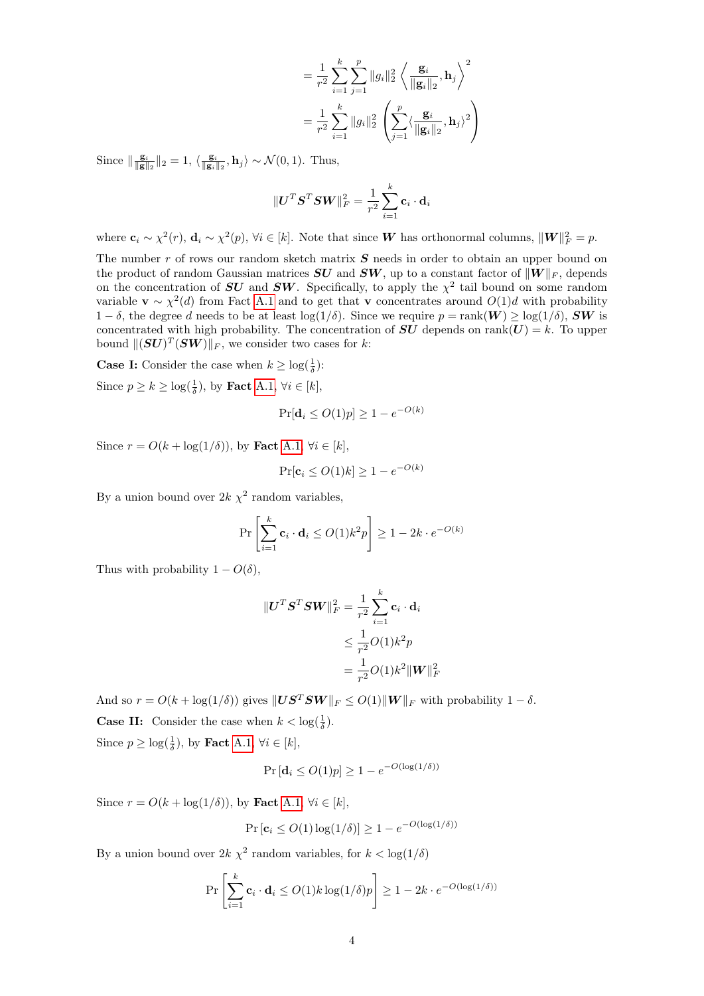$$
= \frac{1}{r^2} \sum_{i=1}^{k} \sum_{j=1}^{p} ||g_i||_2^2 \left\langle \frac{\mathbf{g}_i}{||\mathbf{g}_i||_2}, \mathbf{h}_j \right\rangle^2
$$
  

$$
= \frac{1}{r^2} \sum_{i=1}^{k} ||g_i||_2^2 \left( \sum_{j=1}^{p} \langle \frac{\mathbf{g}_i}{||\mathbf{g}_i||_2}, \mathbf{h}_j \rangle^2 \right)
$$

Since  $\|\frac{\mathbf{g}_i}{\|\mathbf{g}\|_2}\|_2 = 1$ ,  $\langle \frac{\mathbf{g}_i}{\|\mathbf{g}_i\|_2}, \mathbf{h}_j \rangle \sim \mathcal{N}(0, 1)$ . Thus,

$$
\|\boldsymbol{U}^T\boldsymbol{S}^T\boldsymbol{S}\boldsymbol{W}\|_F^2 = \frac{1}{r^2}\sum_{i=1}^k \mathbf{c}_i\cdot\mathbf{d}_i
$$

where  $\mathbf{c}_i \sim \chi^2(r)$ ,  $\mathbf{d}_i \sim \chi^2(p)$ ,  $\forall i \in [k]$ . Note that since **W** has orthonormal columns,  $\|\mathbf{W}\|_F^2 = p$ .

The number r of rows our random sketch matrix  $S$  needs in order to obtain an upper bound on the product of random Gaussian matrices  $SU$  and  $SW$ , up to a constant factor of  $||W||_F$ , depends on the concentration of  $SU$  and  $SW$ . Specifically, to apply the  $\chi^2$  tail bound on some random variable  $\mathbf{v} \sim \chi^2(d)$  from Fact [A.1](#page-1-1) and to get that v concentrates around  $O(1)d$  with probability  $1-\delta$ , the degree d needs to be at least  $\log(1/\delta)$ . Since we require  $p = \text{rank}(W) \ge \log(1/\delta)$ , SW is concentrated with high probability. The concentration of  $SU$  depends on rank $(U) = k$ . To upper bound  $\|(\bm{S}\bm{U})^T(\bm{S}\bm{W})\|_F$ , we consider two cases for k:

**Case I:** Consider the case when  $k \geq \log(\frac{1}{\delta})$ :

Since  $p \ge k \ge \log(\frac{1}{\delta})$ , by **Fact** [A.1,](#page-1-1)  $\forall i \in [k]$ ,

$$
\Pr[\mathbf{d}_i \le O(1)p] \ge 1 - e^{-O(k)}
$$

Since  $r = O(k + \log(1/\delta))$ , by Fact [A.1,](#page-1-1)  $\forall i \in [k]$ ,

$$
\Pr[\mathbf{c}_i \le O(1)k] \ge 1 - e^{-O(k)}
$$

By a union bound over  $2k \chi^2$  random variables,

$$
\Pr\left[\sum_{i=1}^{k} \mathbf{c}_i \cdot \mathbf{d}_i \le O(1) k^2 p\right] \ge 1 - 2k \cdot e^{-O(k)}
$$

Thus with probability  $1 - O(\delta)$ ,

$$
\begin{aligned} \|\boldsymbol{U}^T \boldsymbol{S}^T \boldsymbol{S} \boldsymbol{W}\|_F^2 &= \frac{1}{r^2} \sum_{i=1}^k \mathbf{c}_i \cdot \mathbf{d}_i \\ &\le \frac{1}{r^2} O(1) k^2 p \\ &= \frac{1}{r^2} O(1) k^2 \|\boldsymbol{W}\|_F^2 \end{aligned}
$$

And so  $r = O(k + \log(1/\delta))$  gives  $||US^TSW||_F \leq O(1)||W||_F$  with probability  $1 - \delta$ . **Case II:** Consider the case when  $k < \log(\frac{1}{\delta})$ .

Since  $p \geq \log(\frac{1}{\delta})$ , by **Fact** [A.1,](#page-1-1)  $\forall i \in [k]$ ,

$$
\Pr\left[\mathbf{d}_i \le O(1)p\right] \ge 1 - e^{-O(\log(1/\delta))}
$$

Since  $r = O(k + \log(1/\delta))$ , by Fact [A.1,](#page-1-1)  $\forall i \in [k]$ ,

$$
\Pr\left[\mathbf{c}_i \le O(1)\log(1/\delta)\right] \ge 1 - e^{-O(\log(1/\delta))}
$$

By a union bound over  $2k \chi^2$  random variables, for  $k < \log(1/\delta)$ 

$$
\Pr\left[\sum_{i=1}^k \mathbf{c}_i \cdot \mathbf{d}_i \le O(1) k \log(1/\delta) p\right] \ge 1 - 2k \cdot e^{-O(\log(1/\delta))}
$$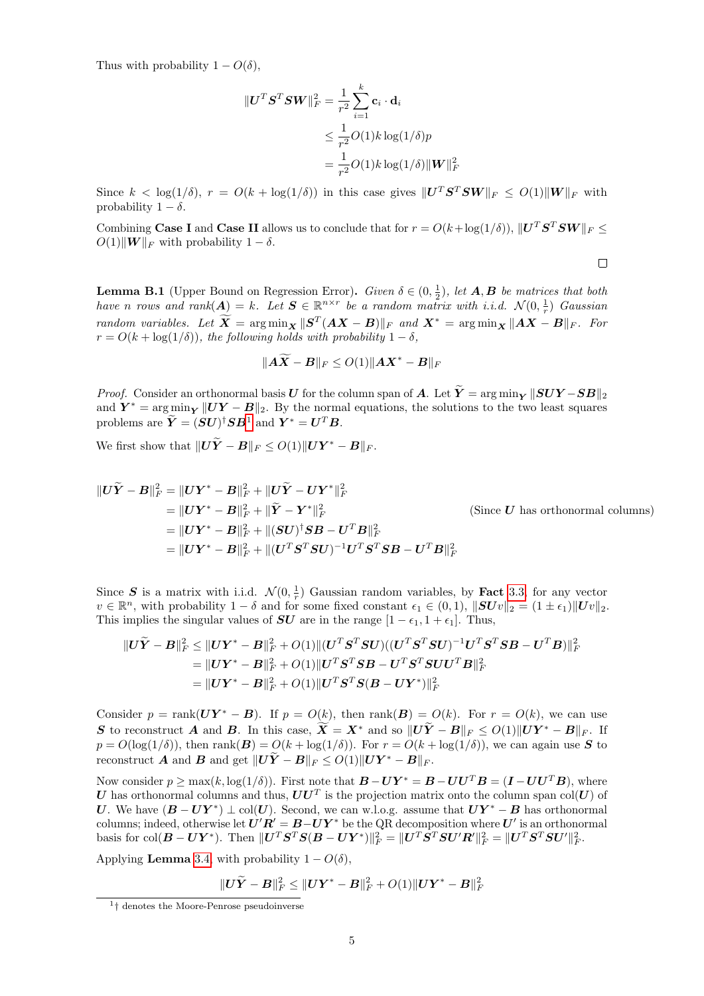Thus with probability  $1 - O(\delta)$ ,

$$
\begin{aligned} \|\boldsymbol{U}^T \boldsymbol{S}^T \boldsymbol{S} \boldsymbol{W}\|_F^2 &= \frac{1}{r^2} \sum_{i=1}^k \mathbf{c}_i \cdot \mathbf{d}_i \\ &\le \frac{1}{r^2} O(1) k \log(1/\delta) p \\ &= \frac{1}{r^2} O(1) k \log(1/\delta) \|\boldsymbol{W}\|_F^2 \end{aligned}
$$

Since  $k < \log(1/\delta)$ ,  $r = O(k + \log(1/\delta))$  in this case gives  $||\mathbf{U}^T\mathbf{S}^T\mathbf{S}\mathbf{W}||_F \leq O(1)||\mathbf{W}||_F$  with probability  $1 - \delta$ .

Combining Case I and Case II allows us to conclude that for  $r = O(k + \log(1/\delta))$ ,  $||\mathbf{U}^T \mathbf{S}^T \mathbf{S} \mathbf{W}||_F \le$  $O(1)\|\boldsymbol{W}\|_F$  with probability  $1 - \delta$ .

 $\Box$ 

<span id="page-4-0"></span>**Lemma B.1** (Upper Bound on Regression Error). Given  $\delta \in (0, \frac{1}{2})$ , let **A**, **B** be matrices that both have n rows and  $rank(A) = k$ . Let  $S \in \mathbb{R}^{n \times r}$  be a random matrix with i.i.d.  $\mathcal{N}(0, \frac{1}{r})$  Gaussian random variables. Let  $\overline{X} = \arg \min_{\mathbf{X}} \| \mathbf{S}^T (\mathbf{A} \mathbf{X} - \mathbf{B}) \|_F$  and  $\mathbf{X}^* = \arg \min_{\mathbf{X}} \| \mathbf{A} \mathbf{X} - \mathbf{B} \|_F$ . For  $r = O(k + \log(1/\delta))$ , the following holds with probability  $1 - \delta$ ,

$$
\|\boldsymbol A\widetilde{\boldsymbol X} - \boldsymbol B\|_F \leq O(1)\|\boldsymbol A\boldsymbol X^* - \boldsymbol B\|_F
$$

*Proof.* Consider an orthonormal basis U for the column span of A. Let  $\tilde{Y} = \arg \min_{Y} \|SUY - SB\|_2$ and  $Y^* = \arg\min_{Y} \|UY - B\|_2$ . By the normal equations, the solutions to the two least squares problems are  $\tilde{\boldsymbol{Y}} = (\boldsymbol{S}\boldsymbol{U})^{\dagger} \boldsymbol{S} \boldsymbol{B}^1$  $\tilde{\boldsymbol{Y}} = (\boldsymbol{S}\boldsymbol{U})^{\dagger} \boldsymbol{S} \boldsymbol{B}^1$  and  $\boldsymbol{Y}^* = \boldsymbol{U}^T \boldsymbol{B}$ .

We first show that  $||\boldsymbol{U}\widetilde{\boldsymbol{Y}} - \boldsymbol{B}||_F \leq O(1)||\boldsymbol{U}\boldsymbol{Y}^* - \boldsymbol{B}||_F$ .

$$
\|U\widetilde{Y} - B\|_{F}^{2} = \|UY^{*} - B\|_{F}^{2} + \|U\widetilde{Y} - UY^{*}\|_{F}^{2}
$$
  
\n
$$
= \|UY^{*} - B\|_{F}^{2} + \|\widetilde{Y} - Y^{*}\|_{F}^{2}
$$
  
\n
$$
= \|UY^{*} - B\|_{F}^{2} + \|(SU)^{\dagger}SB - U^{T}B\|_{F}^{2}
$$
  
\n
$$
= \|UY^{*} - B\|_{F}^{2} + \|(SU)^{\dagger}SB - U^{T}B\|_{F}^{2}
$$
  
\n
$$
= \|UY^{*} - B\|_{F}^{2} + \|(U^{T}S^{T}SU)^{-1}U^{T}S^{T}SB - U^{T}B\|_{F}^{2}
$$
  
\n(Since *U* has orthonormal columns)

Since S is a matrix with i.i.d.  $\mathcal{N}(0, \frac{1}{r})$  Gaussian random variables, by **Fact** [3.3,](#page-2-2) for any vector  $v \in \mathbb{R}^n$ , with probability  $1 - \delta$  and for some fixed constant  $\epsilon_1 \in (0, 1)$ ,  $||SUv||_2 = (1 \pm \epsilon_1) ||Uv||_2$ . This implies the singular values of  $SU$  are in the range  $[1 - \epsilon_1, 1 + \epsilon_1]$ . Thus,

$$
\begin{aligned} \|U\widetilde{Y}-B\|_F^2 &\leq \|UY^* - B\|_F^2 + O(1) \| (U^T S^T S U) ((U^T S^T S U)^{-1} U^T S^T S B - U^T B) \|_F^2 \\ &= \|UY^* - B\|_F^2 + O(1) \| U^T S^T S B - U^T S^T S U U^T B \|_F^2 \\ &= \|UY^* - B\|_F^2 + O(1) \| U^T S^T S (B - U Y^*) \|_F^2 \end{aligned}
$$

Consider  $p = \text{rank}(\boldsymbol{U}\boldsymbol{Y}^* - \boldsymbol{B})$ . If  $p = O(k)$ , then  $\text{rank}(\boldsymbol{B}) = O(k)$ . For  $r = O(k)$ , we can use S to reconstruct A and B. In this case,  $\widetilde{X} = X^*$  and so  $||U\widetilde{Y} - B||_F \leq O(1)||UY^* - B||_F$ . If  $p = O(\log(1/\delta))$ , then rank $(B) = O(k + \log(1/\delta))$ . For  $r = O(k + \log(1/\delta))$ , we can again use S to reconstruct A and B and get  $||U\tilde{Y} - B||_F \leq O(1)||UY^* - B||_F$ .

Now consider  $p \ge \max(k, \log(1/\delta))$ . First note that  $B - UY^* = B - UU^T B = (I - UU^T B)$ , where U has orthonormal columns and thus,  $UU^T$  is the projection matrix onto the column span col $(U)$  of U. We have  $(B - UY^*) \perp col(U)$ . Second, we can w.l.o.g. assume that  $UY^* - B$  has orthonormal columns; indeed, otherwise let  $U'R' = B-UY^*$  be the QR decomposition where  $U'$  is an orthonormal basis for col $(B - UY^*)$ . Then  $\|U^TS^TS(B - UY^*)\|_F^2 = \|U^TS^TSU'R'\|_F^2 = \|U^TS^TSU'\|_F^2$ .

Applying **Lemma** [3.4,](#page-2-3) with probability  $1 - O(\delta)$ ,

$$
\|\boldsymbol{U\widetilde{Y}}-\boldsymbol{B}\|_F^2\leq\|\boldsymbol{U\boldsymbol{Y}}^*-\boldsymbol{B}\|_F^2+O(1)\|\boldsymbol{U\boldsymbol{Y}}^*-\boldsymbol{B}\|_F^2
$$

<span id="page-4-1"></span><sup>&</sup>lt;sup>1</sup><sup>†</sup> denotes the Moore-Penrose pseudoinverse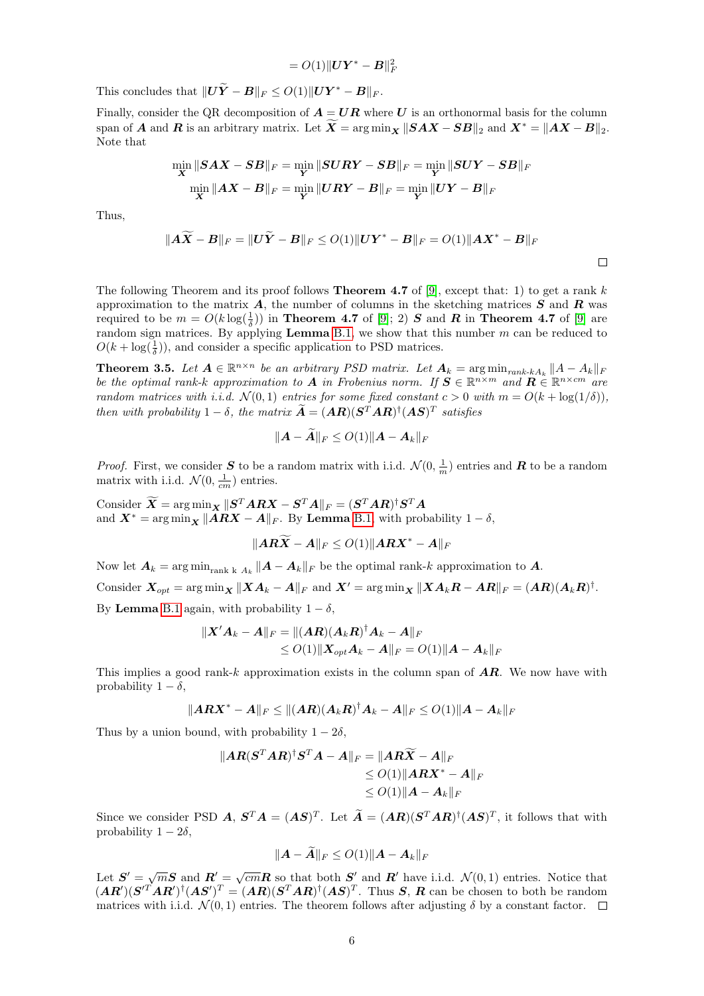$$
= O(1) \Vert \boldsymbol{U} \boldsymbol{Y}^* - \boldsymbol{B} \Vert_F^2
$$

This concludes that  $||U\widetilde{Y} - B||_F \leq O(1)||UY^* - B||_F$ .

Finally, consider the QR decomposition of  $A = UR$  where U is an orthonormal basis for the column span of **A** and **R** is an arbitrary matrix. Let  $\overline{X} = \arg \min_{\mathbf{x}} ||\mathbf{S} \mathbf{A} \mathbf{X} - \mathbf{S} \mathbf{B}||_2$  and  $\mathbf{X}^* = ||\mathbf{A} \mathbf{X} - \mathbf{B}||_2$ . Note that

$$
\min_{\mathbf{X}}\|{\boldsymbol S}{\boldsymbol A}{\boldsymbol X}-{\boldsymbol S}{\boldsymbol B}\|_F=\min_{\mathbf{Y}}\|{\boldsymbol S}{\boldsymbol U}{\boldsymbol R}{\boldsymbol Y}-{\boldsymbol S}{\boldsymbol B}\|_F=\min_{\mathbf{Y}}\|{\boldsymbol S}{\boldsymbol U}{\boldsymbol Y}-{\boldsymbol S}{\boldsymbol B}\|_F
$$
  

$$
\min_{\mathbf{X}}\|{\boldsymbol A}{\boldsymbol X}-{\boldsymbol B}\|_F=\min_{\mathbf{Y}}\|{\boldsymbol U}{\boldsymbol R}{\boldsymbol Y}-{\boldsymbol B}\|_F=\min_{\mathbf{Y}}\|{\boldsymbol U}{\boldsymbol Y}-{\boldsymbol B}\|_F
$$

Thus,

$$
\|\widetilde{A X} - B\|_F = \|U\widetilde{Y} - B\|_F \leq O(1)\|UY^* - B\|_F = O(1)\|AX^* - B\|_F
$$

The following Theorem and its proof follows **Theorem 4.7** of [\[9\]](#page-13-8), except that: 1) to get a rank k approximation to the matrix  $\bm{A}$ , the number of columns in the sketching matrices  $\bm{S}$  and  $\bm{R}$  was required to be  $m = O(k \log(\frac{1}{\delta}))$  in **Theorem 4.7** of [\[9\]](#page-13-8); 2)  $S$  and  $R$  in **Theorem 4.7** of [9] are random sign matrices. By applying **Lemma** [B.1,](#page-4-0) we show that this number  $m$  can be reduced to  $O(k + \log(\frac{1}{\delta}))$ , and consider a specific application to PSD matrices.

<span id="page-5-0"></span>**Theorem 3.5.** Let  $A \in \mathbb{R}^{n \times n}$  be an arbitrary PSD matrix. Let  $A_k = \arg \min_{rank \cdot kA_k} ||A - A_k||_F$ be the optimal rank-k approximation to A in Frobenius norm. If  $S \in \mathbb{R}^{n \times m}$  and  $\mathbf{R} \in \mathbb{R}^{n \times cm}$  are random matrices with i.i.d.  $\mathcal{N}(0,1)$  entries for some fixed constant  $c > 0$  with  $m = O(k + \log(1/\delta)),$ then with probability  $1 - \delta$ , the matrix  $\tilde{A} = (AR)(S<sup>T</sup> AR)<sup>\dagger</sup> (AS)<sup>T</sup>$  satisfies

$$
||A - A||_F \le O(1)||A - A_k||_F
$$

*Proof.* First, we consider S to be a random matrix with i.i.d.  $\mathcal{N}(0, \frac{1}{m})$  entries and R to be a random matrix with i.i.d.  $\mathcal{N}(0, \frac{1}{cm})$  entries.

 $\text{Consider } \widetilde{\bm{X}} = \arg \min_{\bm{X}} \|\bm{S}^T \bm{A} \bm{R} \bm{X} - \bm{S}^T \bm{A} \|_F = (\bm{S}^T \bm{A} \bm{R})^\dagger \bm{S}^T \bm{A}$ and  $\mathbf{X}^* = \arg \min_{\mathbf{X}} \| \mathbf{A}\mathbf{R}\mathbf{X} - \mathbf{A} \|_F$ . By Lemma [B.1,](#page-4-0) with probability  $1 - \delta$ ,

$$
\|\boldsymbol{A}\boldsymbol{R}\boldsymbol{\widetilde{X}}-\boldsymbol{A}\|_F\leq O(1)\|\boldsymbol{A}\boldsymbol{R}\boldsymbol{X}^*-\boldsymbol{A}\|_F
$$

Now let  $A_k = \arg \min_{\text{rank } k} A_k ||A - A_k||_F$  be the optimal rank-k approximation to A.  $\text{Consider } \boldsymbol{X}_{opt} = \arg \min_{\boldsymbol{X}} \| \boldsymbol{X} \boldsymbol{A}_k - \boldsymbol{A} \|_F \text{ and } \boldsymbol{X}' = \arg \min_{\boldsymbol{X}} \| \boldsymbol{X} \boldsymbol{A}_k \boldsymbol{R} - \boldsymbol{A} \boldsymbol{R} \|_F = (\boldsymbol{A} \boldsymbol{R}) (\boldsymbol{A}_k \boldsymbol{R})^\dagger.$ By **Lemma** [B.1](#page-4-0) again, with probability  $1 - \delta$ ,

$$
\begin{aligned} \| \boldsymbol{X}' \boldsymbol{A}_k - \boldsymbol{A} \|_F &= \| (\boldsymbol{A}\boldsymbol{R}) (\boldsymbol{A}_k \boldsymbol{R})^\dagger \boldsymbol{A}_k - \boldsymbol{A} \|_F \\ &\le O(1) \| \boldsymbol{X}_{opt} \boldsymbol{A}_k - \boldsymbol{A} \|_F = O(1) \| \boldsymbol{A} - \boldsymbol{A}_k \|_F \end{aligned}
$$

This implies a good rank-k approximation exists in the column span of  $AR$ . We now have with probability  $1 - \delta$ ,

$$
\|\boldsymbol A\boldsymbol R\boldsymbol X^*-\boldsymbol A\|_F\leq \|(\boldsymbol A\boldsymbol R)(\boldsymbol A_k\boldsymbol R)^\dagger\boldsymbol A_k-\boldsymbol A\|_F\leq O(1)\|\boldsymbol A-\boldsymbol A_k\|_F
$$

Thus by a union bound, with probability  $1 - 2\delta$ ,

$$
\|AR(S^TAR)^{\dagger}S^T A - A\|_F = \|AR\widetilde{X} - A\|_F
$$
  
\n
$$
\leq O(1) \|ARX^* - A\|_F
$$
  
\n
$$
\leq O(1) \|A - A_k\|_F
$$

Since we consider PSD  $\boldsymbol{A}, \boldsymbol{S}^T \boldsymbol{A} = (\boldsymbol{A}\boldsymbol{S})^T$ . Let  $\tilde{\boldsymbol{A}} = (\boldsymbol{A}\boldsymbol{R})(\boldsymbol{S}^T \boldsymbol{A} \boldsymbol{R})^{\dagger} (\boldsymbol{A}\boldsymbol{S})^T$ , it follows that with probability  $1 - 2\delta$ ,

$$
\|\boldsymbol{A} - \tilde{\boldsymbol{A}}\|_F \le O(1) \|\boldsymbol{A} - \boldsymbol{A}_k\|_F
$$

Let  $S' = \sqrt{m}S$  and  $R' = \sqrt{cm}R$  so that both  $S'$  and  $R'$  have i.i.d.  $\mathcal{N}(0,1)$  entries. Notice that  $(\mathbf{A}\mathbf{R}')(\mathbf{S}'^T\mathbf{A}\mathbf{R}')^{\dagger}(\mathbf{A}\mathbf{S}')^T = (\mathbf{A}\mathbf{R})(\mathbf{S}^T\mathbf{A}\mathbf{R})^{\dagger}(\mathbf{A}\mathbf{S})^T$ . Thus  $\mathbf{S}, \mathbf{R}$  can be chosen to both be random matrices with i.i.d.  $\mathcal{N}(0, 1)$  entries. The theorem follows after adjusting  $\delta$  by a constant factor.  $\Box$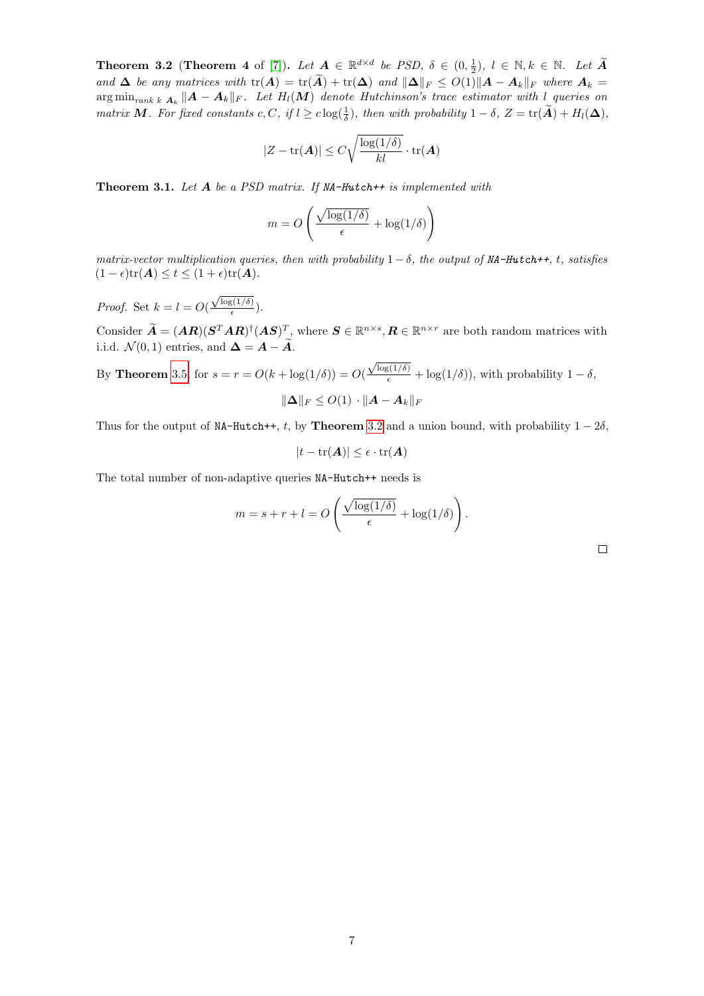<span id="page-6-0"></span>**Theorem 3.2** (Theorem 4 of [\[7\]](#page-13-6)). Let  $A \in \mathbb{R}^{d \times d}$  be PSD,  $\delta \in (0, \frac{1}{2})$ ,  $l \in \mathbb{N}$ ,  $k \in \mathbb{N}$ . Let  $\widetilde{A}$ and  $\Delta$  be any matrices with  $tr(A) = tr(\widetilde{A}) + tr(\Delta)$  and  $\|\Delta\|_F \leq O(1)\|A - A_k\|_F$  where  $A_k =$  $\argmin_{rank\; k} \frac{1}{n_k} \|\bm A - \bm A_k\|_F$ . Let  $H_l(\bm M)$  denote Hutchinson's trace estimator with l queries on matrix M. For fixed constants c, C, if  $l \geq c \log(\frac{1}{\delta})$ , then with probability  $1 - \delta$ ,  $Z = \text{tr}(\widetilde{A}) + H_l(\Delta)$ ,

$$
|Z - \text{tr}(\boldsymbol{A})| \leq C \sqrt{\frac{\log(1/\delta)}{kl}} \cdot \text{tr}(\boldsymbol{A})
$$

<span id="page-6-1"></span>**Theorem 3.1.** Let  $A$  be a PSD matrix. If NA-Hutch++ is implemented with

$$
m = O\left(\frac{\sqrt{\log(1/\delta)}}{\epsilon} + \log(1/\delta)\right)
$$

matrix-vector multiplication queries, then with probability  $1 - \delta$ , the output of MA-Hutch++, t, satisfies  $(1 - \epsilon)\text{tr}(\boldsymbol{A}) \le t \le (1 + \epsilon)\text{tr}(\boldsymbol{A}).$ 

*Proof.* Set  $k = l = O($  $\sqrt{\log(1/\delta)}$  $\frac{\frac{3(10)}{2}}{\epsilon}$ ).

Consider  $\widetilde{A} = (AR)(S^{T}AR)^{\dagger}(AS)^{T}$ , where  $S \in \mathbb{R}^{n \times s}, R \in \mathbb{R}^{n \times r}$  are both random matrices with i.i.d.  $\mathcal{N}(0, 1)$  entries, and  $\Delta = A - \widetilde{A}$ .

By **Theorem** [3.5,](#page-5-0) for  $s = r = O(k + \log(1/\delta)) = O(k)$  $\frac{\sqrt{\log(1/\delta)}}{\epsilon} + \log(1/\delta)$ , with probability  $1 - \delta$ ,  $\|\mathbf{\Delta}\|_F \leq O(1) \cdot \| \mathbf{A} - \mathbf{A}_k \|_F$ 

Thus for the output of NA-Hutch++, t, by Theorem [3.2](#page-6-0) and a union bound, with probability  $1 - 2\delta$ ,

$$
|t - \text{tr}(\bm{A})| \leq \epsilon \cdot \text{tr}(\bm{A})
$$

The total number of non-adaptive queries NA-Hutch++ needs is

$$
m = s + r + l = O\left(\frac{\sqrt{\log(1/\delta)}}{\epsilon} + \log(1/\delta)\right).
$$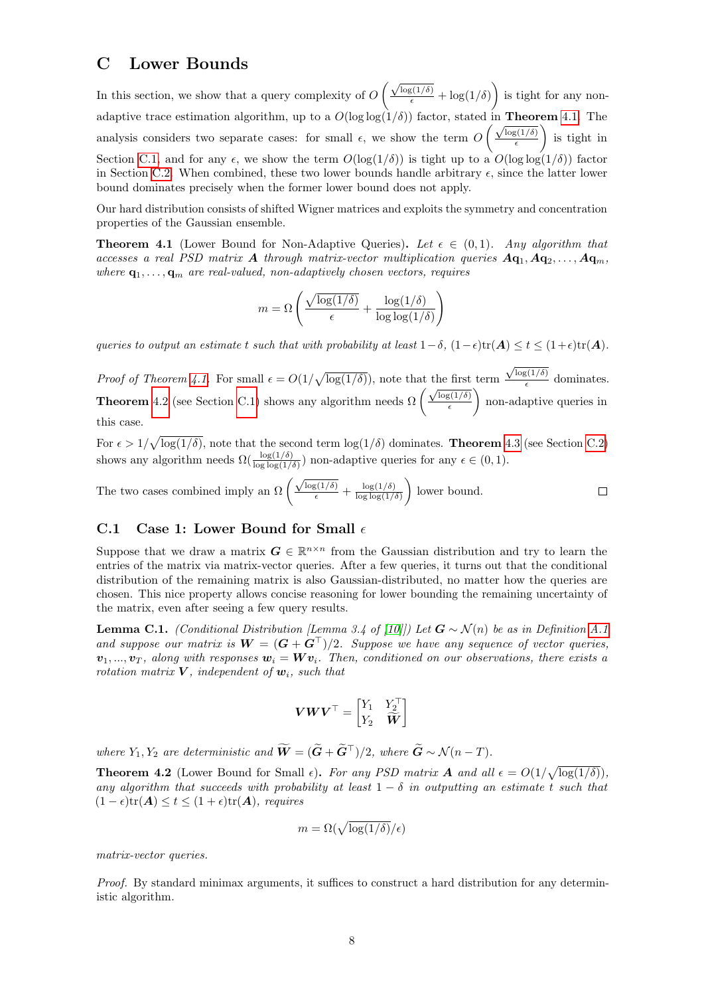#### <span id="page-7-0"></span>C Lower Bounds

In this section, we show that a query complexity of  $O\left(\frac{\sqrt{\log(1/\delta)}}{\epsilon} + \log(1/\delta)\right)$  is tight for any nonadaptive trace estimation algorithm, up to a  $O(\log \log(1/\delta))$  factor, stated in **Theorem** [4.1.](#page-7-2) The analysis considers two separate cases: for small  $\epsilon$ , we show the term  $O\left(\frac{\sqrt{\log(1/\delta)}}{\epsilon}\right)$  $\epsilon$  is tight in Section [C.1,](#page-7-1) and for any  $\epsilon$ , we show the term  $O(\log(1/\delta))$  is tight up to a  $O(\log \log(1/\delta))$  factor in Section [C.2.](#page-8-0) When combined, these two lower bounds handle arbitrary  $\epsilon$ , since the latter lower bound dominates precisely when the former lower bound does not apply.

Our hard distribution consists of shifted Wigner matrices and exploits the symmetry and concentration properties of the Gaussian ensemble.

<span id="page-7-2"></span>**Theorem 4.1** (Lower Bound for Non-Adaptive Queries). Let  $\epsilon \in (0,1)$ . Any algorithm that accesses a real PSD matrix A through matrix-vector multiplication queries  $Aq_1, Aq_2, \ldots, Aq_m$ . where  $\mathbf{q}_1, \ldots, \mathbf{q}_m$  are real-valued, non-adaptively chosen vectors, requires

$$
m = \Omega \left( \frac{\sqrt{\log(1/\delta)}}{\epsilon} + \frac{\log(1/\delta)}{\log \log(1/\delta)} \right)
$$

queries to output an estimate t such that with probability at least  $1-\delta$ ,  $(1-\epsilon)\text{tr}(\mathbf{A}) \le t \le (1+\epsilon)\text{tr}(\mathbf{A})$ .

*Proof of Theorem [4.1.](#page-7-2)* For small  $\epsilon = O(1/\sqrt{\log(1/\delta)})$ , note that the first term  $\sqrt{\log(1/\delta)}$ Proof of Theorem 4.1. For small  $\epsilon = O(1/\sqrt{\log(1/\delta)})$ , note that the first term  $\frac{\sqrt{\log(1/\delta)}}{\epsilon}$  dominates.<br>Theorem [4.2](#page-7-3) (see Section [C.1\)](#page-7-1) shows any algorithm needs  $\Omega\left(\frac{\sqrt{\log(1/\delta)}}{\epsilon}\right)$  non-adaptive queries in  $\epsilon$  non-adaptive queries in this case.

For  $\epsilon > 1/\sqrt{\log(1/\delta)}$ , note that the second term  $\log(1/\delta)$  dominates. **Theorem** [4.3](#page-8-1) (see Section [C.2\)](#page-8-0) shows any algorithm needs  $\Omega(\frac{\log(1/\delta)}{\log \log(1/\delta)})$  non-adaptive queries for any  $\epsilon \in (0,1)$ .

The two cases combined imply an  $\Omega \left( \frac{\sqrt{\log(1/\delta)}}{\epsilon} + \frac{\log(1/\delta)}{\log \log(1/\delta)} \right)$  lower bound.  $\Box$  $\log \log(1/\delta)$ 

#### <span id="page-7-1"></span>C.1 Case 1: Lower Bound for Small  $\epsilon$

Suppose that we draw a matrix  $G \in \mathbb{R}^{n \times n}$  from the Gaussian distribution and try to learn the entries of the matrix via matrix-vector queries. After a few queries, it turns out that the conditional distribution of the remaining matrix is also Gaussian-distributed, no matter how the queries are chosen. This nice property allows concise reasoning for lower bounding the remaining uncertainty of the matrix, even after seeing a few query results.

<span id="page-7-4"></span>**Lemma C.1.** (Conditional Distribution [Lemma 3.4 of [\[10\]](#page-13-9)]) Let  $G \sim \mathcal{N}(n)$  be as in Definition [A.1](#page-1-2) and suppose our matrix is  $W = (G + G^{\top})/2$ . Suppose we have any sequence of vector queries,  $v_1, ..., v_T$ , along with responses  $w_i = Wv_i$ . Then, conditioned on our observations, there exists a rotation matrix  $V$ , independent of  $w_i$ , such that

$$
\boldsymbol{V}\boldsymbol{W}\boldsymbol{V}^{\top}=\begin{bmatrix} Y_1 & Y_2^{\top} \\ Y_2 & \widetilde{\boldsymbol{W}} \end{bmatrix}
$$

where  $Y_1, Y_2$  are deterministic and  $\widetilde{\mathbf{W}} = (\widetilde{\mathbf{G}} + \widetilde{\mathbf{G}}^{\top})/2$ , where  $\widetilde{\mathbf{G}} \sim \mathcal{N}(n - T)$ .

<span id="page-7-3"></span>**Theorem 4.2** (Lower Bound for Small  $\epsilon$ ). For any PSD matrix **A** and all  $\epsilon = O(1/\sqrt{\log(1/\delta)})$ , any algorithm that succeeds with probability at least  $1 - \delta$  in outputting an estimate t such that  $(1 - \epsilon)\text{tr}(\mathbf{A}) \le t \le (1 + \epsilon)\text{tr}(\mathbf{A}),$  requires

$$
m = \Omega(\sqrt{\log(1/\delta)}/\epsilon)
$$

matrix-vector queries.

Proof. By standard minimax arguments, it suffices to construct a hard distribution for any deterministic algorithm.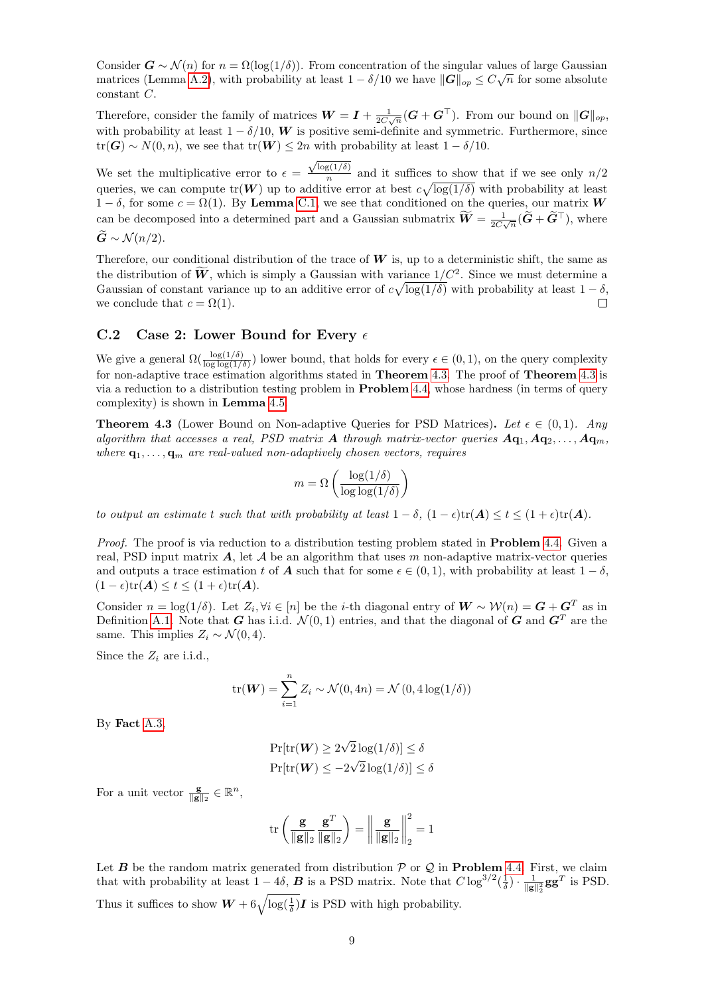Consider  $G \sim \mathcal{N}(n)$  for  $n = \Omega(\log(1/\delta))$ . From concentration of the singular values of large Gaussian matrices (Lemma [A.2\)](#page-1-3), with probability at least  $1 - \delta/10$  we have  $\|\mathbf{G}\|_{op} \leq C\sqrt{n}$  for some absolute constant C.

Therefore, consider the family of matrices  $W = I + \frac{1}{2C\sqrt{n}}(G + G^{\top})$ . From our bound on  $||G||_{op}$ , with probability at least  $1 - \delta/10$ , W is positive semi-definite and symmetric. Furthermore, since  $tr(G) \sim N(0, n)$ , we see that  $tr(W) \leq 2n$  with probability at least  $1 - \delta/10$ .

We set the multiplicative error to  $\epsilon =$  $\sqrt{\log(1/\delta)}$  $\frac{g(1/\theta)}{n}$  and it suffices to show that if we see only  $n/2$ queries, we can compute  $tr(W)$  up to additive error at best  $c\sqrt{\log(1/\delta)}$  with probability at least  $1 - \delta$ , for some  $c = \Omega(1)$ . By Lemma [C.1,](#page-7-4) we see that conditioned on the queries, our matrix W can be decomposed into a determined part and a Gaussian submatrix  $\tilde{W} = \frac{1}{2C\sqrt{n}}(\tilde{G} + \tilde{G}^{\top})$ , where

 $\ddot{G} \sim \mathcal{N}(n/2).$ 

Therefore, our conditional distribution of the trace of  $W$  is, up to a deterministic shift, the same as the distribution of  $\tilde{W}$ , which is simply a Gaussian with variance  $1/C^2$ . Since we must determine a Gaussian of constant variance up to an additive error of  $c\sqrt{\log(1/\delta)}$  with probability at least  $1-\delta$ , we conclude that  $c = \Omega(1)$ .  $\Box$ 

#### <span id="page-8-0"></span>C.2 Case 2: Lower Bound for Every  $\epsilon$

We give a general  $\Omega(\frac{\log(1/\delta)}{\log \log(1/\delta)})$  lower bound, that holds for every  $\epsilon \in (0,1)$ , on the query complexity for non-adaptive trace estimation algorithms stated in Theorem [4.3.](#page-8-1) The proof of Theorem [4.3](#page-8-1) is via a reduction to a distribution testing problem in Problem [4.4,](#page-9-0) whose hardness (in terms of query complexity) is shown in Lemma [4.5.](#page-9-1)

<span id="page-8-1"></span>**Theorem 4.3** (Lower Bound on Non-adaptive Queries for PSD Matrices). Let  $\epsilon \in (0,1)$ . Any algorithm that accesses a real, PSD matrix A through matrix-vector queries  $Aq_1, Aq_2, \ldots, Aq_m$ , where  $\mathbf{q}_1, \ldots, \mathbf{q}_m$  are real-valued non-adaptively chosen vectors, requires

$$
m = \Omega\left(\frac{\log(1/\delta)}{\log\log(1/\delta)}\right)
$$

to output an estimate t such that with probability at least  $1 - \delta$ ,  $(1 - \epsilon)tr(\mathbf{A}) \le t \le (1 + \epsilon)tr(\mathbf{A})$ .

Proof. The proof is via reduction to a distribution testing problem stated in **Problem** [4.4.](#page-9-0) Given a real, PSD input matrix  $\vec{A}$ , let  $\vec{A}$  be an algorithm that uses m non-adaptive matrix-vector queries and outputs a trace estimation t of **A** such that for some  $\epsilon \in (0,1)$ , with probability at least  $1-\delta$ ,  $(1 - \epsilon)\text{tr}(\boldsymbol{A}) \le t \le (1 + \epsilon)\text{tr}(\boldsymbol{A}).$ 

Consider  $n = \log(1/\delta)$ . Let  $Z_i, \forall i \in [n]$  be the *i*-th diagonal entry of  $W \sim \mathcal{W}(n) = G + G^T$  as in Definition [A.1.](#page-1-2) Note that G has i.i.d.  $\mathcal{N}(0, 1)$  entries, and that the diagonal of G and  $G<sup>T</sup>$  are the same. This implies  $Z_i \sim \mathcal{N}(0, 4)$ .

Since the  $Z_i$  are i.i.d.,

$$
\operatorname{tr}(\boldsymbol{W}) = \sum_{i=1}^{n} Z_i \sim \mathcal{N}(0, 4n) = \mathcal{N}(0, 4\log(1/\delta))
$$

By Fact [A.3,](#page-1-4)

$$
\Pr[\mathrm{tr}(\boldsymbol{W}) \ge 2\sqrt{2}\log(1/\delta)] \le \delta
$$

$$
\Pr[\mathrm{tr}(\boldsymbol{W}) \le -2\sqrt{2}\log(1/\delta)] \le \delta
$$

For a unit vector  $\frac{\mathbf{g}}{\|\mathbf{g}\|_2} \in \mathbb{R}^n$ ,

$$
\text{tr}\left(\frac{\mathbf{g}}{\|\mathbf{g}\|_2} \frac{\mathbf{g}^T}{\|\mathbf{g}\|_2}\right) = \left\| \frac{\mathbf{g}}{\|\mathbf{g}\|_2} \right\|_2^2 = 1
$$

Let **B** be the random matrix generated from distribution  $P$  or  $Q$  in **Problem** [4.4.](#page-9-0) First, we claim that with probability at least  $1 - 4\delta$ , **B** is a PSD matrix. Note that  $C \log^{3/2}(\frac{1}{\delta}) \cdot \frac{1}{\|\mathbf{g}\|_2^2} \mathbf{g} \mathbf{g}^T$  is PSD. Thus it suffices to show  $W + 6\sqrt{\log(\frac{1}{\delta})}\mathbf{I}$  is PSD with high probability.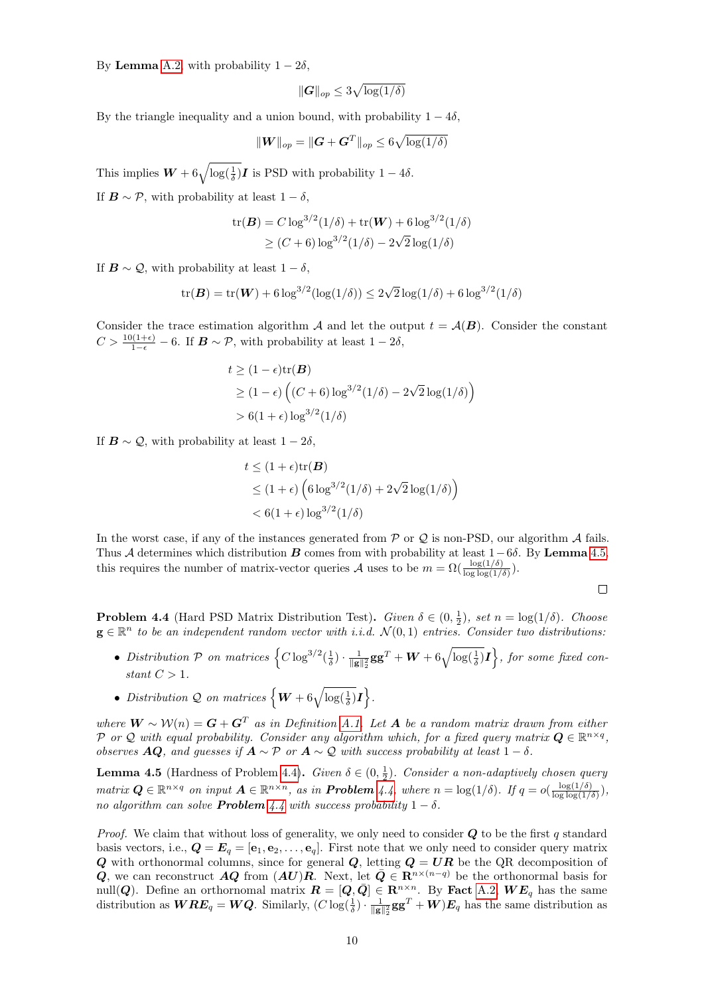By **Lemma** [A.2,](#page-1-3) with probability  $1 - 2\delta$ ,

$$
\|\boldsymbol{G}\|_{op} \leq 3\sqrt{\log(1/\delta)}
$$

By the triangle inequality and a union bound, with probability  $1 - 4\delta$ ,

$$
\|\boldsymbol{W}\|_{op}=\|\boldsymbol{G}+\boldsymbol{G}^T\|_{op}\leq 6\sqrt{\log(1/\delta)}
$$

This implies  $W + 6\sqrt{\log(\frac{1}{\delta})}I$  is PSD with probability  $1 - 4\delta$ . If  $\mathbf{B} \sim \mathcal{P}$ , with probability at least  $1 - \delta$ ,

tr(**B**) = C log<sup>3/2</sup>(1/δ) + tr(**W**) + 6 log<sup>3/2</sup>(1/δ)  
\n
$$
\geq (C + 6) log^{3/2}(1/δ) - 2\sqrt{2} log(1/δ)
$$

If  $\mathbf{B} \sim \mathcal{Q}$ , with probability at least  $1 - \delta$ ,

$$
\text{tr}(\boldsymbol{B}) = \text{tr}(\boldsymbol{W}) + 6 \log^{3/2}(\log(1/\delta)) \le 2\sqrt{2}\log(1/\delta) + 6 \log^{3/2}(1/\delta)
$$

Consider the trace estimation algorithm A and let the output  $t = A(B)$ . Consider the constant  $C > \frac{10(1+\epsilon)}{1-\epsilon} - 6$ . If  $\mathbf{B} \sim \mathcal{P}$ , with probability at least  $1-2\delta$ ,

$$
t \ge (1 - \epsilon) \text{tr}(\mathbf{B})
$$
  
\n
$$
\ge (1 - \epsilon) \left( (C + 6) \log^{3/2} (1/\delta) - 2\sqrt{2} \log(1/\delta) \right)
$$
  
\n
$$
> 6(1 + \epsilon) \log^{3/2} (1/\delta)
$$

If  $\mathbf{B} \sim \mathcal{Q}$ , with probability at least  $1 - 2\delta$ .

$$
t \le (1 + \epsilon) \text{tr}(\mathbf{B})
$$
  
\n
$$
\le (1 + \epsilon) \left( 6 \log^{3/2} (1/\delta) + 2\sqrt{2} \log(1/\delta) \right)
$$
  
\n
$$
< 6(1 + \epsilon) \log^{3/2} (1/\delta)
$$

In the worst case, if any of the instances generated from  $P$  or  $Q$  is non-PSD, our algorithm  $A$  fails. Thus A determines which distribution B comes from with probability at least  $1-6\delta$ . By Lemma [4.5,](#page-9-1) this requires the number of matrix-vector queries A uses to be  $m = \Omega(\frac{\log(1/\delta)}{\log \log(1/\delta)})$ .

<span id="page-9-0"></span>**Problem 4.4** (Hard PSD Matrix Distribution Test). Given  $\delta \in (0, \frac{1}{2})$ , set  $n = \log(1/\delta)$ . Choose  $g \in \mathbb{R}^n$  to be an independent random vector with i.i.d.  $\mathcal{N}(0,1)$  entries. Consider two distributions:

- Distribution P on matrices  $\left\{C\log^{3/2}(\frac{1}{\delta})\cdot \frac{1}{\|\mathbf{g}\|_2^2}\mathbf{g}\mathbf{g}^T + \mathbf{W} + 6\sqrt{\log(\frac{1}{\delta})}\mathbf{I}\right\}$ , for some fixed constant  $C > 1$ .
- Distribution Q on matrices  $\left\{ \boldsymbol{W} + 6\sqrt{\log(\frac{1}{\delta})}\boldsymbol{I} \right\}$ .

where  $W \sim \mathcal{W}(n) = G + G^T$  as in Definition [A.1.](#page-1-2) Let A be a random matrix drawn from either P or Q with equal probability. Consider any algorithm which, for a fixed query matrix  $Q \in \mathbb{R}^{n \times q}$ , observes AQ, and guesses if  $A \sim \mathcal{P}$  or  $A \sim \mathcal{Q}$  with success probability at least  $1 - \delta$ .

<span id="page-9-1"></span>**Lemma 4.5** (Hardness of Problem [4.4\)](#page-9-0). Given  $\delta \in (0, \frac{1}{2})$ . Consider a non-adaptively chosen query matrix  $\mathbf{Q} \in \mathbb{R}^{n \times q}$  on input  $\mathbf{A} \in \mathbb{R}^{n \times n}$ , as in **Problem** [4.4,](#page-9-0) where  $n = \log(1/\delta)$ . If  $q = o(\frac{\log(1/\delta)}{\log \log(1/\delta)})$  $\frac{\log(1/\delta)}{\log\log(1/\delta)}\Big),\,$ no algorithm can solve **Problem** [4.4](#page-9-0) with success probability  $1 - \delta$ .

*Proof.* We claim that without loss of generality, we only need to consider  $Q$  to be the first q standard basis vectors, i.e.,  $\mathbf{Q} = \mathbf{E}_q = [\mathbf{e}_1, \mathbf{e}_2, \dots, \mathbf{e}_q]$ . First note that we only need to consider query matrix Q with orthonormal columns, since for general Q, letting  $Q = UR$  be the QR decomposition of Q, we can reconstruct AQ from  $(AU)R$ . Next, let  $\overline{Q} \in \mathbb{R}^{n \times (n-q)}$  be the orthonormal basis for null(Q). Define an orthornomal matrix  $\mathbf{R} = [\mathbf{Q}, \bar{\mathbf{Q}}] \in \mathbf{R}^{n \times n}$ . By Fact [A.2,](#page-1-5)  $\mathbf{W} \mathbf{E}_q$  has the same distribution as  $WRE_q = WQ$ . Similarly,  $(C \log(\frac{1}{\delta}) \cdot \frac{1}{\|\mathbf{g}\|_2^2} \mathbf{g} \mathbf{g}^T + W)E_q$  has the same distribution as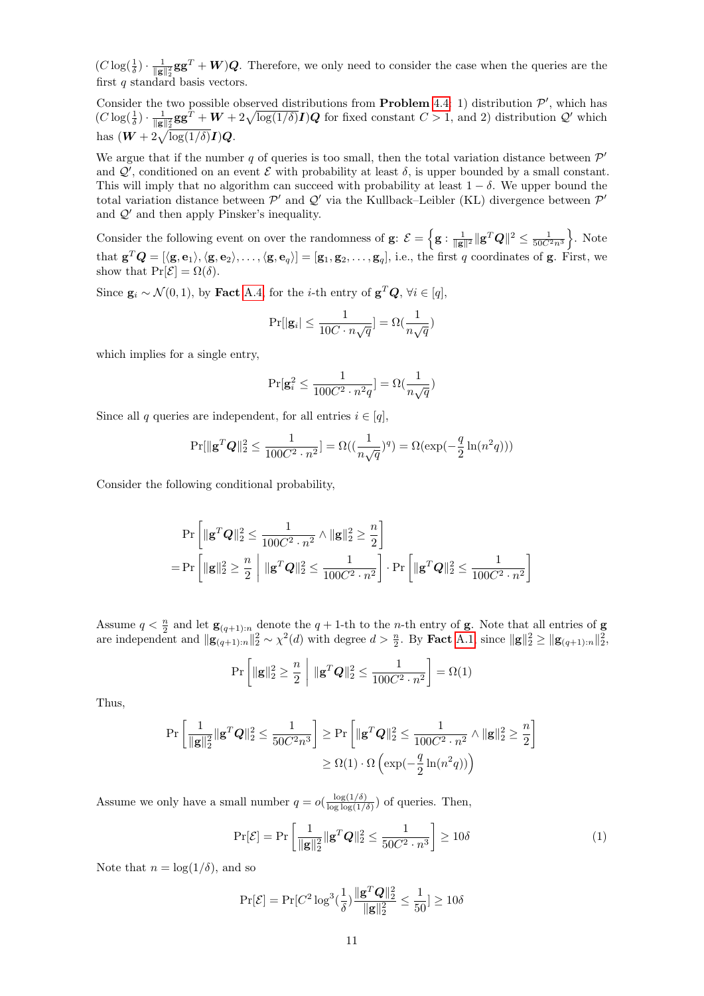$(C \log(\frac{1}{\delta}) \cdot \frac{1}{\|\mathbf{g}\|_2^2} \mathbf{g} \mathbf{g}^T + \mathbf{W})\mathbf{Q}$ . Therefore, we only need to consider the case when the queries are the first  $q$  standard basis vectors.

Consider the two possible observed distributions from **Problem** [4.4:](#page-9-0) 1) distribution  $\mathcal{P}'$ , which has  $(C \log(\frac{1}{\delta}) \cdot \frac{1}{\|\mathbf{g}\|_2^2} \mathbf{g} \mathbf{g}^T + \mathbf{W} + 2\sqrt{\log(1/\delta)} \mathbf{I}) \mathbf{Q}$  for fixed constant  $C > 1$ , and 2) distribution  $\mathcal{Q}'$  which has  $(W + 2\sqrt{\log(1/\delta)}I)Q$ .

We argue that if the number q of queries is too small, then the total variation distance between  $\mathcal{P}'$ and  $\mathcal{Q}'$ , conditioned on an event  $\mathcal E$  with probability at least  $\delta$ , is upper bounded by a small constant. This will imply that no algorithm can succeed with probability at least  $1 - \delta$ . We upper bound the total variation distance between  $\mathcal{P}'$  and  $\mathcal{Q}'$  via the Kullback–Leibler (KL) divergence between  $\mathcal{P}'$ and  $\mathcal{Q}'$  and then apply Pinsker's inequality.

Consider the following event on over the randomness of  $\mathbf{g}$ :  $\mathcal{E} = \left\{ \mathbf{g} : \frac{1}{\|\mathbf{g}\|^2} \|\mathbf{g}^T \mathbf{Q}\|^2 \le \frac{1}{50 C^2 n^3} \right\}$ . Note that  $\mathbf{g}^T\mathbf{Q} = [\langle \mathbf{g}, \mathbf{e}_1 \rangle, \langle \mathbf{g}, \mathbf{e}_2 \rangle, \dots, \langle \mathbf{g}, \mathbf{e}_q \rangle] = [\mathbf{g}_1, \mathbf{g}_2, \dots, \mathbf{g}_q]$ , i.e., the first q coordinates of **g**. First, we show that  $\Pr[\mathcal{E}] = \Omega(\delta)$ .

Since  $\mathbf{g}_i \sim \mathcal{N}(0, 1)$ , by Fact [A.4,](#page-1-6) for the *i*-th entry of  $\mathbf{g}^T \mathbf{Q}$ ,  $\forall i \in [q]$ ,

$$
\Pr[|\mathbf{g}_i| \leq \frac{1}{10C \cdot n\sqrt{q}}] = \Omega(\frac{1}{n\sqrt{q}})
$$

which implies for a single entry,

$$
\Pr[ \mathbf{g}_i^2 \leq \frac{1}{100C^2 \cdot n^2 q} ] = \Omega(\frac{1}{n \sqrt{q}})
$$

Since all q queries are independent, for all entries  $i \in [q]$ ,

$$
\Pr[\|\mathbf{g}^T\mathbf{Q}\|_2^2 \le \frac{1}{100C^2 \cdot n^2}] = \Omega\left(\left(\frac{1}{n\sqrt{q}}\right)^q\right) = \Omega(\exp(-\frac{q}{2}\ln(n^2q)))
$$

Consider the following conditional probability,

$$
\Pr\left[\|\mathbf{g}^T\mathbf{Q}\|_2^2 \le \frac{1}{100C^2 \cdot n^2} \wedge \|\mathbf{g}\|_2^2 \ge \frac{n}{2}\right] \\
= \Pr\left[\|\mathbf{g}\|_2^2 \ge \frac{n}{2} \middle| \|\mathbf{g}^T\mathbf{Q}\|_2^2 \le \frac{1}{100C^2 \cdot n^2}\right] \cdot \Pr\left[\|\mathbf{g}^T\mathbf{Q}\|_2^2 \le \frac{1}{100C^2 \cdot n^2}\right]
$$

Assume  $q < \frac{n}{2}$  and let  $\mathbf{g}_{(q+1):n}$  denote the  $q + 1$ -th to the *n*-th entry of **g**. Note that all entries of **g** are independent and  $\|\mathbf{g}_{(q+1):n}\|_2^2 \sim \chi^2(d)$  with degree  $d > \frac{n}{2}$ . By **Fact** [A.1,](#page-1-1) since  $\|\mathbf{g}\|_2^2 \ge \|\mathbf{g}_{(q+1):n}\|_2^2$ ,

$$
\Pr\left[\|\mathbf{g}\|_{2}^{2} \geq \frac{n}{2} \middle| \|\mathbf{g}^{T}\mathbf{Q}\|_{2}^{2} \leq \frac{1}{100C^{2} \cdot n^{2}}\right] = \Omega(1)
$$

Thus,

$$
\begin{aligned} \Pr\left[\frac{1}{\|\mathbf{g}\|_2^2}\|\mathbf{g}^T\boldsymbol{Q}\|_2^2 \leq \frac{1}{50C^2n^3}\right] &\geq \Pr\left[\|\mathbf{g}^T\boldsymbol{Q}\|_2^2 \leq \frac{1}{100C^2\cdot n^2} \wedge \|\mathbf{g}\|_2^2 \geq \frac{n}{2}\right] \\ &\geq \Omega(1)\cdot \Omega\left(\exp(-\frac{q}{2}\ln(n^2q))\right) \end{aligned}
$$

Assume we only have a small number  $q = o(\frac{\log(1/\delta)}{\log \log(1/\delta)})$  $\frac{\log(1/\delta)}{\log \log(1/\delta)}$  of queries. Then,

$$
\Pr[\mathcal{E}] = \Pr\left[\frac{1}{\|\mathbf{g}\|_2^2} \|\mathbf{g}^T \mathbf{Q}\|_2^2 \le \frac{1}{50C^2 \cdot n^3}\right] \ge 10\delta \tag{1}
$$

Note that  $n = \log(1/\delta)$ , and so

$$
\Pr[\mathcal{E}] = \Pr[C^2 \log^3(\frac{1}{\delta}) \frac{\|\mathbf{g}^T \mathbf{Q}\|_2^2}{\|\mathbf{g}\|_2^2} \le \frac{1}{50}] \ge 10\delta
$$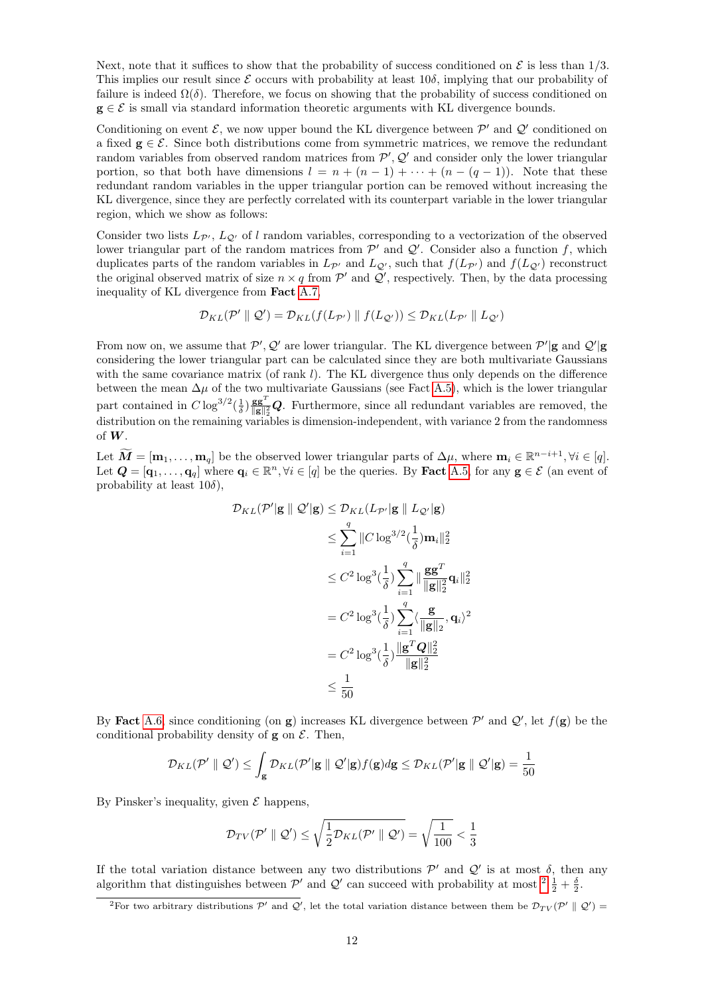Next, note that it suffices to show that the probability of success conditioned on  $\mathcal E$  is less than 1/3. This implies our result since  $\mathcal E$  occurs with probability at least 10 $\delta$ , implying that our probability of failure is indeed  $\Omega(\delta)$ . Therefore, we focus on showing that the probability of success conditioned on  $g \in \mathcal{E}$  is small via standard information theoretic arguments with KL divergence bounds.

Conditioning on event  $\mathcal{E}$ , we now upper bound the KL divergence between  $\mathcal{P}'$  and  $\mathcal{Q}'$  conditioned on a fixed  $g \in \mathcal{E}$ . Since both distributions come from symmetric matrices, we remove the redundant random variables from observed random matrices from  $P', Q'$  and consider only the lower triangular portion, so that both have dimensions  $l = n + (n - 1) + \cdots + (n - (q - 1))$ . Note that these redundant random variables in the upper triangular portion can be removed without increasing the KL divergence, since they are perfectly correlated with its counterpart variable in the lower triangular region, which we show as follows:

Consider two lists  $L_{\mathcal{P}}$ ,  $L_{\mathcal{Q}}$  of l random variables, corresponding to a vectorization of the observed lower triangular part of the random matrices from  $\mathcal{P}'$  and  $\mathcal{Q}'$ . Consider also a function f, which duplicates parts of the random variables in  $L_{\mathcal{P}}$  and  $L_{\mathcal{Q}}$ , such that  $f(L_{\mathcal{P}})$  and  $f(L_{\mathcal{Q}})$  reconstruct the original observed matrix of size  $n \times q$  from  $\mathcal{P}'$  and  $\mathcal{Q}'$ , respectively. Then, by the data processing inequality of KL divergence from Fact [A.7,](#page-1-7)

$$
\mathcal{D}_{KL}(\mathcal{P}' \parallel \mathcal{Q}') = \mathcal{D}_{KL}(f(L_{\mathcal{P}'}) \parallel f(L_{\mathcal{Q}'})) \leq \mathcal{D}_{KL}(L_{\mathcal{P}'} \parallel L_{\mathcal{Q}'})
$$

From now on, we assume that  $\mathcal{P}', \mathcal{Q}'$  are lower triangular. The KL divergence between  $\mathcal{P}'|$ **g** and  $\mathcal{Q}'|$ **g** considering the lower triangular part can be calculated since they are both multivariate Gaussians with the same covariance matrix (of rank  $l$ ). The KL divergence thus only depends on the difference between the mean  $\Delta \mu$  of the two multivariate Gaussians (see Fact [A.5\)](#page-1-8), which is the lower triangular part contained in  $C \log^{3/2}(\frac{1}{\delta}) \frac{\mathbf{g} \mathbf{g}^T}{\|\mathbf{g}\|^2}$  $\frac{g\mathbf{g}^T}{\|\mathbf{g}\|^2_2}$  Purthermore, since all redundant variables are removed, the distribution on the remaining variables is dimension-independent, with variance 2 from the randomness of W.

Let  $\widetilde{M} = [\mathbf{m}_1, \dots, \mathbf{m}_q]$  be the observed lower triangular parts of  $\Delta \mu$ , where  $\mathbf{m}_i \in \mathbb{R}^{n-i+1}$ ,  $\forall i \in [q]$ . Let  $\mathbf{Q} = [\mathbf{q}_1, \dots, \mathbf{q}_q]$  where  $\mathbf{q}_i \in \mathbb{R}^n, \forall i \in [q]$  be the queries. By **Fact** [A.5,](#page-1-8) for any  $\mathbf{g} \in \mathcal{E}$  (an event of probability at least  $10\delta$ ),

$$
\mathcal{D}_{KL}(\mathcal{P}'|\mathbf{g} \parallel \mathcal{Q}'|\mathbf{g}) \leq \mathcal{D}_{KL}(L_{\mathcal{P}'}|\mathbf{g} \parallel L_{\mathcal{Q}'}|\mathbf{g})
$$
\n
$$
\leq \sum_{i=1}^{q} \|C \log^{3/2}(\frac{1}{\delta})\mathbf{m}_{i}\|_{2}^{2}
$$
\n
$$
\leq C^{2} \log^{3}(\frac{1}{\delta}) \sum_{i=1}^{q} \| \frac{\mathbf{g}\mathbf{g}^{T}}{\|\mathbf{g}\|_{2}^{2}} \mathbf{q}_{i} \|_{2}^{2}
$$
\n
$$
= C^{2} \log^{3}(\frac{1}{\delta}) \sum_{i=1}^{q} \langle \frac{\mathbf{g}}{\|\mathbf{g}\|_{2}}, \mathbf{q}_{i} \rangle^{2}
$$
\n
$$
= C^{2} \log^{3}(\frac{1}{\delta}) \frac{\|\mathbf{g}^{T}\mathbf{Q}\|_{2}^{2}}{\|\mathbf{g}\|_{2}^{2}}
$$
\n
$$
\leq \frac{1}{50}
$$

By Fact [A.6,](#page-1-9) since conditioning (on g) increases KL divergence between  $\mathcal{P}'$  and  $\mathcal{Q}'$ , let  $f(g)$  be the conditional probability density of  $g$  on  $\mathcal{E}$ . Then,

$$
\mathcal{D}_{KL}(\mathcal{P}' \parallel \mathcal{Q}') \leq \int_{\mathbf{g}} \mathcal{D}_{KL}(\mathcal{P}'|\mathbf{g} \parallel \mathcal{Q}'|\mathbf{g}) f(\mathbf{g}) d\mathbf{g} \leq \mathcal{D}_{KL}(\mathcal{P}'|\mathbf{g} \parallel \mathcal{Q}'|\mathbf{g}) = \frac{1}{50}
$$

By Pinsker's inequality, given  $\mathcal E$  happens,

$$
\mathcal{D}_{TV}(\mathcal{P}' \parallel \mathcal{Q}') \leq \sqrt{\frac{1}{2} \mathcal{D}_{KL}(\mathcal{P}' \parallel \mathcal{Q}')} = \sqrt{\frac{1}{100}} < \frac{1}{3}
$$

If the total variation distance between any two distributions  $\mathcal{P}'$  and  $\mathcal{Q}'$  is at most  $\delta$ , then any algorithm that distinguishes between  $\mathcal{P}'$  and  $\mathcal{Q}'$  can succeed with probability at most  $2\frac{1}{2}+\frac{\delta}{2}$  $2\frac{1}{2}+\frac{\delta}{2}$ .

<span id="page-11-0"></span><sup>&</sup>lt;sup>2</sup>For two arbitrary distributions  $\mathcal{P}'$  and  $\mathcal{Q}'$ , let the total variation distance between them be  $\mathcal{D}_{TV}(\mathcal{P}' \parallel \mathcal{Q}')$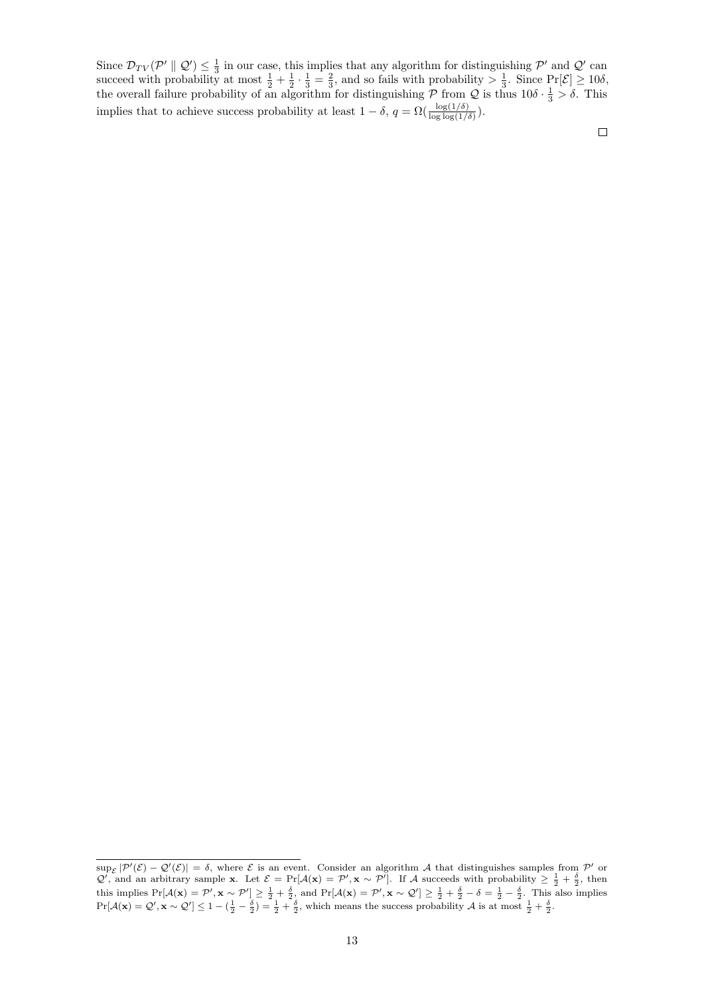Since  $\mathcal{D}_{TV}(\mathcal{P}' \parallel \mathcal{Q}') \leq \frac{1}{3}$  in our case, this implies that any algorithm for distinguishing  $\mathcal{P}'$  and  $\mathcal{Q}'$  can succeed with probability at most  $\frac{1}{2} + \frac{1}{2} \cdot \frac{1}{3} = \frac{2}{3}$ , and so fails with probability  $> \frac{1}{3}$ . Since  $\Pr[\mathcal{E}] \ge 10\delta$ , the overall failure probability of an algorithm for distinguishing  $P$  from  $Q$  is thus  $10\delta \cdot \frac{1}{3} > \delta$ . This implies that to achieve success probability at least  $1 - \delta$ ,  $q = \Omega(\frac{\log(1/\delta)}{\log \log(1/\delta)})$ .

 $\Box$ 

 $\sup_{\mathcal{E}}|\mathcal{P}'(\mathcal{E}) - \mathcal{Q}'(\mathcal{E})| = \delta$ , where  $\mathcal{E}$  is an event. Consider an algorithm A that distinguishes samples from  $\mathcal{P}'$  or  $\mathcal{Q}'$ , and an arbitrary sample **x**. Let  $\mathcal{E} = \Pr[\mathcal{A}(\mathbf{x}) = \mathcal{P}', \mathbf{x} \sim \mathcal{P}']$ . If A succeeds with probability  $\geq \frac{1}{2} + \frac{\delta}{2}$ , then this implies  $Pr[\mathcal{A}(\mathbf{x}) = \mathcal{P}', \mathbf{x} \sim \mathcal{P}'] \ge \frac{1}{2} + \frac{\delta}{2}$ , and  $Pr[\mathcal{A}(\mathbf{x}) = \mathcal{P}', \mathbf{x} \sim \mathcal{Q}'] \ge \frac{1}{2} + \frac{\delta}{2} - \delta = \frac{1}{2} - \frac{\delta}{2}$ . This also implies  $Pr[\mathcal{A}(\mathbf{x}) = \mathcal{Q}', \mathbf{x} \sim \mathcal{Q}'] \le 1 - (\frac{1}{2} - \frac{\delta}{2}) = \frac{1}{2} + \frac{\delta}{2}$ , which means the success probability  $\mathcal{A}$  is at most  $\frac{1}{2} + \frac{\delta}{2}$ .